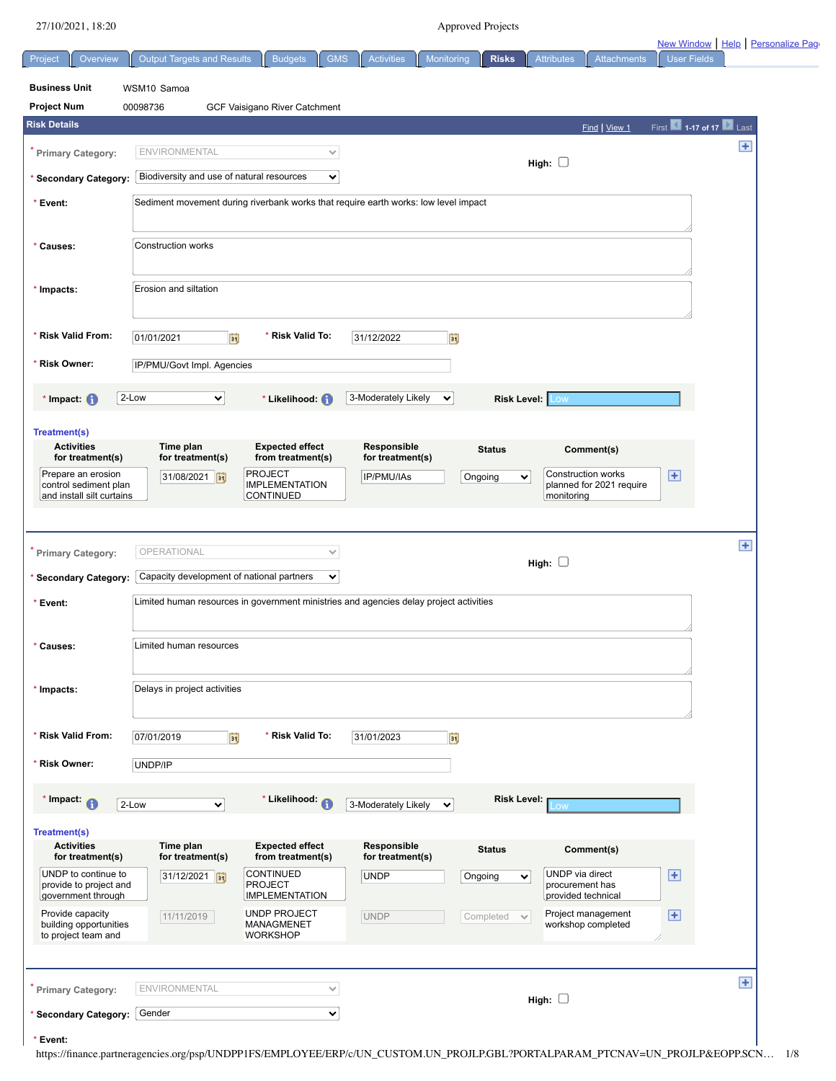| 4/10/4041,10.40                               |                                                                                        |                                             |                                 | <i>i</i> pproved rigued                |                                                | New Window   Help   Personalize Pag |       |
|-----------------------------------------------|----------------------------------------------------------------------------------------|---------------------------------------------|---------------------------------|----------------------------------------|------------------------------------------------|-------------------------------------|-------|
| Overview<br>Project                           | <b>Output Targets and Results</b>                                                      | <b>GMS</b><br><b>Budgets</b>                | <b>Activities</b>               | Monitoring<br><b>Risks</b>             | <b>Attributes</b><br><b>Attachments</b>        | <b>User Fields</b>                  |       |
| <b>Business Unit</b>                          | WSM10 Samoa                                                                            |                                             |                                 |                                        |                                                |                                     |       |
| <b>Project Num</b>                            | 00098736                                                                               | GCF Vaisigano River Catchment               |                                 |                                        |                                                |                                     |       |
| <b>Risk Details</b>                           |                                                                                        |                                             |                                 |                                        | Find   View 1                                  | First 1.17 of 17 Last               |       |
| Primary Category:                             | ENVIRONMENTAL                                                                          | $\checkmark$                                |                                 |                                        | High: $\square$                                |                                     | $\pm$ |
| * Secondary Category:                         | Biodiversity and use of natural resources                                              | ×                                           |                                 |                                        |                                                |                                     |       |
| * Event:                                      | Sediment movement during riverbank works that require earth works: low level impact    |                                             |                                 |                                        |                                                |                                     |       |
|                                               |                                                                                        |                                             |                                 |                                        |                                                |                                     |       |
| * Causes:                                     | Construction works                                                                     |                                             |                                 |                                        |                                                |                                     |       |
|                                               |                                                                                        |                                             |                                 |                                        |                                                |                                     |       |
| * Impacts:                                    | Erosion and siltation                                                                  |                                             |                                 |                                        |                                                |                                     |       |
|                                               |                                                                                        |                                             |                                 |                                        |                                                |                                     |       |
| * Risk Valid From:                            | 01/01/2021<br>間                                                                        | * Risk Valid To:                            | 31/12/2022                      | D)                                     |                                                |                                     |       |
| * Risk Owner:                                 | IP/PMU/Govt Impl. Agencies                                                             |                                             |                                 |                                        |                                                |                                     |       |
| $*$ Impact: $\bigcirc$                        | 2-Low<br>⊻∣                                                                            | * Likelihood: (1)                           | 3-Moderately Likely             | $\checkmark$<br><b>Risk Level: Low</b> |                                                |                                     |       |
|                                               |                                                                                        |                                             |                                 |                                        |                                                |                                     |       |
| <b>Treatment(s)</b><br><b>Activities</b>      | Time plan                                                                              | <b>Expected effect</b>                      | Responsible                     |                                        |                                                |                                     |       |
| for treatment(s)                              | for treatment(s)                                                                       | from treatment(s)                           | for treatment(s)                | <b>Status</b>                          | Comment(s)                                     |                                     |       |
| Prepare an erosion<br>control sediment plan   | 31/08/2021 31                                                                          | <b>PROJECT</b><br><b>IMPLEMENTATION</b>     | IP/PMU/IAs                      | Ongoing<br>$\checkmark$                | Construction works<br>planned for 2021 require | $\left  \frac{1}{2} \right $        |       |
| and install silt curtains                     |                                                                                        | <b>CONTINUED</b>                            |                                 |                                        | monitoring                                     |                                     |       |
|                                               |                                                                                        |                                             |                                 |                                        |                                                |                                     |       |
| <b>Primary Category:</b>                      | OPERATIONAL                                                                            | $\checkmark$                                |                                 |                                        | High: $\square$                                |                                     | Ŧ     |
| * Secondary Category:                         | Capacity development of national partners                                              | $\checkmark$                                |                                 |                                        |                                                |                                     |       |
| * Event:                                      | Limited human resources in government ministries and agencies delay project activities |                                             |                                 |                                        |                                                |                                     |       |
|                                               |                                                                                        |                                             |                                 |                                        |                                                |                                     |       |
| Causes:                                       | Limited human resources                                                                |                                             |                                 |                                        |                                                |                                     |       |
|                                               |                                                                                        |                                             |                                 |                                        |                                                |                                     |       |
| * Impacts:                                    | Delays in project activities                                                           |                                             |                                 |                                        |                                                |                                     |       |
|                                               |                                                                                        |                                             |                                 |                                        |                                                |                                     |       |
| * Risk Valid From:                            | 07/01/2019<br>Ħ                                                                        | * Risk Valid To:                            | 31/01/2023                      | <b>Fi</b>                              |                                                |                                     |       |
| * Risk Owner:                                 | UNDP/IP                                                                                |                                             |                                 |                                        |                                                |                                     |       |
| * Impact:                                     |                                                                                        | * Likelihood: (1)                           |                                 | <b>Risk Level:</b>                     |                                                |                                     |       |
|                                               | 2-Low<br>$\checkmark$                                                                  |                                             | 3-Moderately Likely             | $\checkmark$                           | <b>OW</b>                                      |                                     |       |
| Treatment(s)                                  |                                                                                        |                                             |                                 |                                        |                                                |                                     |       |
| <b>Activities</b><br>for treatment(s)         | Time plan<br>for treatment(s)                                                          | <b>Expected effect</b><br>from treatment(s) | Responsible<br>for treatment(s) | <b>Status</b>                          | Comment(s)                                     |                                     |       |
| UNDP to continue to<br>provide to project and | 31/12/2021 31                                                                          | <b>CONTINUED</b><br><b>PROJECT</b>          | <b>UNDP</b>                     | Ongoing<br>$\checkmark$                | UNDP via direct<br>procurement has             | $\overline{f}$                      |       |
| government through<br>Provide capacity        |                                                                                        | <b>IMPLEMENTATION</b><br>UNDP PROJECT       |                                 |                                        | provided technical<br>Project management       |                                     |       |
| building opportunities<br>to project team and | 11/11/2019                                                                             | MANAGMENET<br><b>WORKSHOP</b>               | <b>UNDP</b>                     | Completed<br>$\checkmark$              | workshop completed                             | Ŧ                                   |       |
|                                               |                                                                                        |                                             |                                 |                                        |                                                |                                     |       |
|                                               |                                                                                        |                                             |                                 |                                        |                                                |                                     |       |
| <b>Primary Category:</b>                      | <b>ENVIRONMENTAL</b>                                                                   | $\checkmark$                                |                                 |                                        | High: $\square$                                |                                     | $\pm$ |
| * Secondary Category:                         | Gender                                                                                 | ×                                           |                                 |                                        |                                                |                                     |       |
|                                               |                                                                                        |                                             |                                 |                                        |                                                |                                     |       |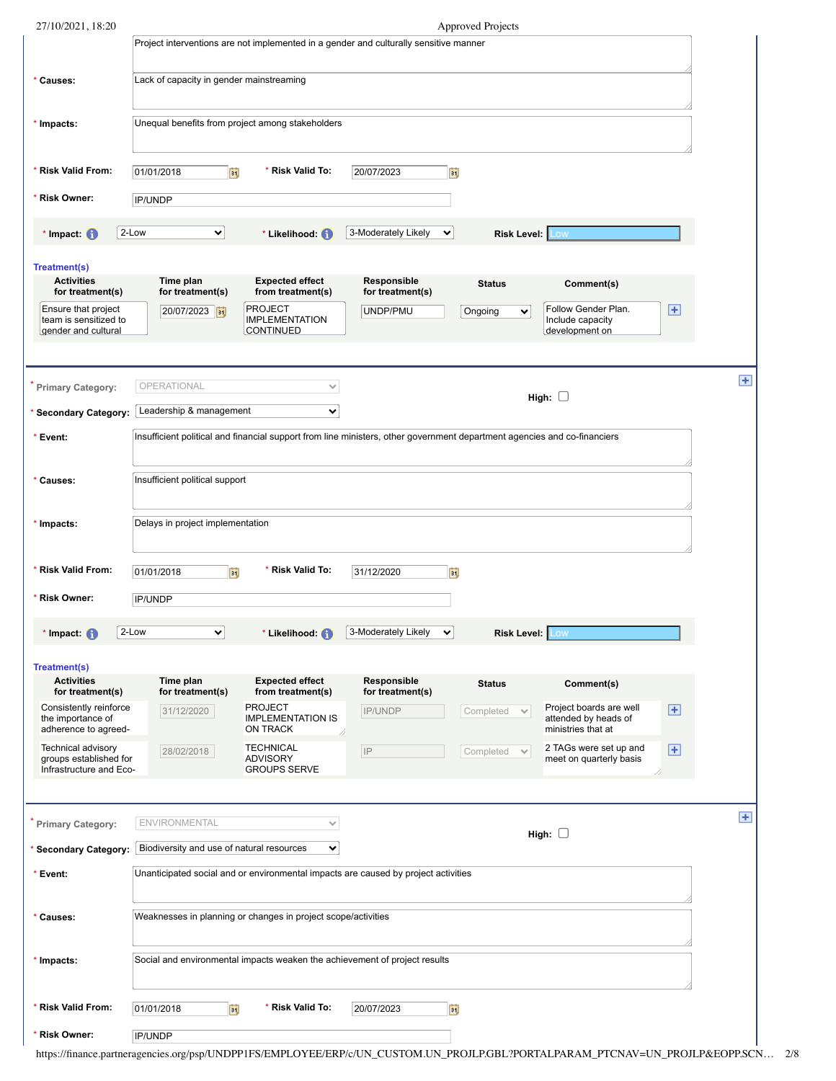| 27/10/2021, 18:20                                                       |                                           |                                                               |                                                                                                                          | <b>Approved Projects</b>  |                                                           |                        |              |
|-------------------------------------------------------------------------|-------------------------------------------|---------------------------------------------------------------|--------------------------------------------------------------------------------------------------------------------------|---------------------------|-----------------------------------------------------------|------------------------|--------------|
|                                                                         |                                           |                                                               | Project interventions are not implemented in a gender and culturally sensitive manner                                    |                           |                                                           |                        |              |
| * Causes:                                                               | Lack of capacity in gender mainstreaming  |                                                               |                                                                                                                          |                           |                                                           |                        |              |
| * Impacts:                                                              |                                           | Unequal benefits from project among stakeholders              |                                                                                                                          |                           |                                                           |                        |              |
| * Risk Valid From:                                                      | 01/01/2018<br>BŲ                          | * Risk Valid To:                                              | 20/07/2023                                                                                                               | FU                        |                                                           |                        |              |
| * Risk Owner:                                                           | <b>IP/UNDP</b>                            |                                                               |                                                                                                                          |                           |                                                           |                        |              |
| * Impact: $\bigcirc$                                                    | 2-Low<br>$\checkmark$                     | * Likelihood: (1)                                             | 3-Moderately Likely<br>$\checkmark$                                                                                      | <b>Risk Level: Low</b>    |                                                           |                        |              |
| <b>Treatment(s)</b>                                                     |                                           |                                                               |                                                                                                                          |                           |                                                           |                        |              |
| <b>Activities</b><br>for treatment(s)                                   | Time plan<br>for treatment(s)             | <b>Expected effect</b><br>from treatment(s)                   | Responsible<br>for treatment(s)                                                                                          | <b>Status</b>             | Comment(s)                                                |                        |              |
| Ensure that project<br>team is sensitized to<br>gender and cultural     | 20/07/2023                                | <b>PROJECT</b><br><b>IMPLEMENTATION</b><br>CONTINUED          | UNDP/PMU                                                                                                                 | Ongoing<br>$\checkmark$   | Follow Gender Plan.<br>Include capacity<br>development on | $\overline{+}$         |              |
| Primary Category:                                                       | OPERATIONAL                               | $\checkmark$                                                  |                                                                                                                          |                           |                                                           |                        | $\pm$        |
| <b>Secondary Category:</b>                                              | Leadership & management                   | $\checkmark$                                                  |                                                                                                                          |                           | High: $\square$                                           |                        |              |
| * Event:                                                                |                                           |                                                               | Insufficient political and financial support from line ministers, other government department agencies and co-financiers |                           |                                                           |                        |              |
|                                                                         |                                           |                                                               |                                                                                                                          |                           |                                                           |                        |              |
| * Causes:                                                               | Insufficient political support            |                                                               |                                                                                                                          |                           |                                                           |                        |              |
| * Impacts:                                                              | Delays in project implementation          |                                                               |                                                                                                                          |                           |                                                           |                        |              |
| * Risk Valid From:                                                      | 01/01/2018<br>BL                          | * Risk Valid To:                                              | 31/12/2020                                                                                                               | Ħ                         |                                                           |                        |              |
| * Risk Owner:                                                           | IP/UNDP                                   |                                                               |                                                                                                                          |                           |                                                           |                        |              |
| * Impact: $\bigoplus$                                                   | 2-Low<br>$\checkmark$                     | * Likelihood: <b>O</b>                                        | 3-Moderately Likely<br>$\checkmark$                                                                                      | <b>Risk Level:</b>        | .ow                                                       |                        |              |
| Treatment(s)<br><b>Activities</b>                                       | Time plan                                 | <b>Expected effect</b>                                        | Responsible                                                                                                              | <b>Status</b>             | Comment(s)                                                |                        |              |
| for treatment(s)<br>Consistently reinforce                              | for treatment(s)<br>31/12/2020            | from treatment(s)<br><b>PROJECT</b>                           | for treatment(s)<br><b>IP/UNDP</b>                                                                                       |                           | Project boards are well                                   | $\left  \cdot \right $ |              |
| the importance of<br>adherence to agreed-                               |                                           | <b>IMPLEMENTATION IS</b><br>ON TRACK                          |                                                                                                                          | Completed<br>$\checkmark$ | attended by heads of<br>ministries that at                |                        |              |
| Technical advisory<br>groups established for<br>Infrastructure and Eco- | 28/02/2018                                | <b>TECHNICAL</b><br><b>ADVISORY</b><br><b>GROUPS SERVE</b>    | $ $ IP                                                                                                                   | Completed                 | 2 TAGs were set up and<br>meet on quarterly basis         | $\left  + \right $     |              |
|                                                                         |                                           |                                                               |                                                                                                                          |                           |                                                           |                        |              |
| <b>Primary Category:</b>                                                | <b>ENVIRONMENTAL</b>                      | $\checkmark$                                                  |                                                                                                                          |                           | High: $\square$                                           |                        | $\mathbf{H}$ |
| <b>Secondary Category:</b>                                              | Biodiversity and use of natural resources | $\checkmark$                                                  |                                                                                                                          |                           |                                                           |                        |              |
| * Event:                                                                |                                           |                                                               | Unanticipated social and or environmental impacts are caused by project activities                                       |                           |                                                           |                        |              |
| * Causes:                                                               |                                           | Weaknesses in planning or changes in project scope/activities |                                                                                                                          |                           |                                                           |                        |              |
| * Impacts:                                                              |                                           |                                                               | Social and environmental impacts weaken the achievement of project results                                               |                           |                                                           |                        |              |
| * Risk Valid From:                                                      | 01/01/2018<br>FÜ                          | * Risk Valid To:                                              | 20/07/2023                                                                                                               | Þü                        |                                                           |                        |              |
|                                                                         |                                           |                                                               |                                                                                                                          |                           |                                                           |                        |              |
| * Risk Owner:                                                           | <b>IP/UNDP</b>                            |                                                               |                                                                                                                          |                           |                                                           |                        |              |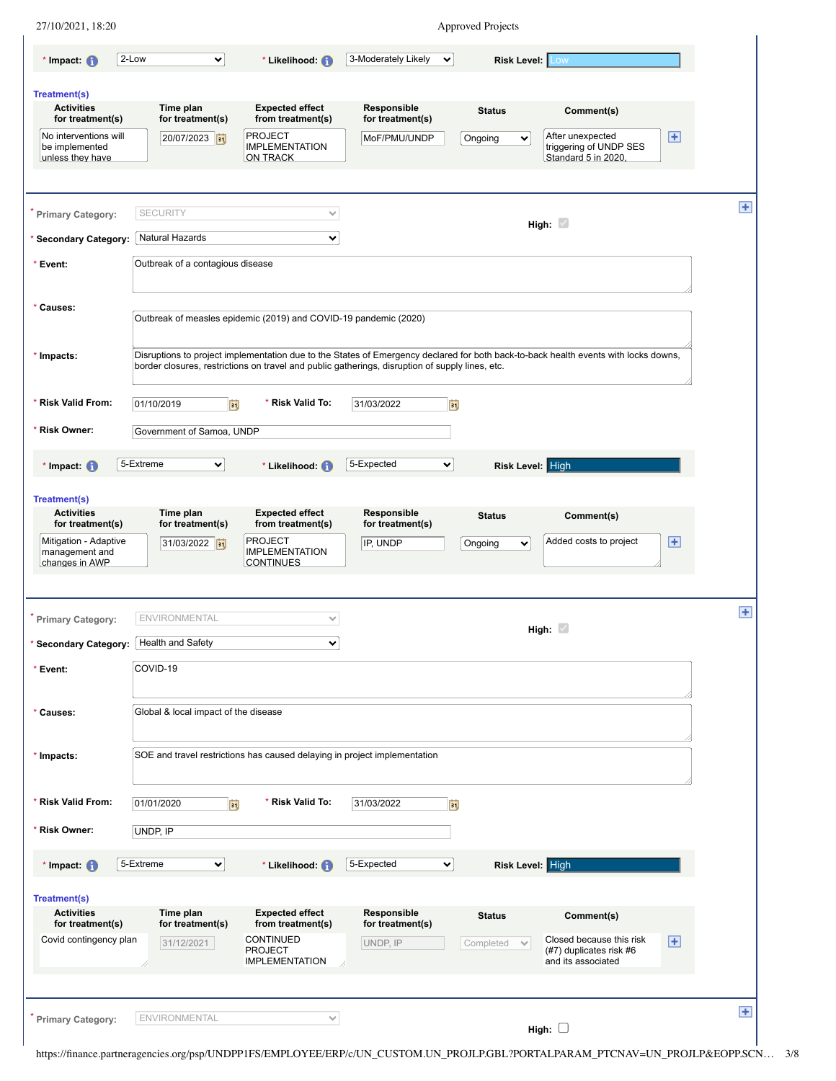| 27/10/2021, 18:20                                           |                                      |                                                                                                 |                                 | <b>Approved Projects</b>               |                                                                                                                                     |                       |
|-------------------------------------------------------------|--------------------------------------|-------------------------------------------------------------------------------------------------|---------------------------------|----------------------------------------|-------------------------------------------------------------------------------------------------------------------------------------|-----------------------|
| * Impact: $\bigoplus$                                       | 2-Low<br>び                           | * Likelihood: <sup>(1)</sup>                                                                    | 3-Moderately Likely             | $\checkmark$<br><b>Risk Level: Low</b> |                                                                                                                                     |                       |
| <b>Treatment(s)</b>                                         |                                      |                                                                                                 |                                 |                                        |                                                                                                                                     |                       |
| <b>Activities</b><br>for treatment(s)                       | Time plan<br>for treatment(s)        | <b>Expected effect</b><br>from treatment(s)                                                     | Responsible<br>for treatment(s) | <b>Status</b>                          | Comment(s)                                                                                                                          |                       |
| No interventions will<br>be implemented<br>unless they have | 20/07/2023                           | <b>PROJECT</b><br><b>IMPLEMENTATION</b><br><b>ON TRACK</b>                                      | MoF/PMU/UNDP                    | Ongoing<br>$\checkmark$                | After unexpected<br>triggering of UNDP SES<br>Standard 5 in 2020,                                                                   | $\overline{E}$        |
|                                                             |                                      |                                                                                                 |                                 |                                        |                                                                                                                                     |                       |
| <b>Primary Category:</b>                                    | <b>SECURITY</b>                      | $\checkmark$                                                                                    |                                 |                                        | High: $\sqrt{ }$                                                                                                                    |                       |
| <b>Secondary Category:</b>                                  | Natural Hazards                      | $\checkmark$                                                                                    |                                 |                                        |                                                                                                                                     |                       |
| * Event:                                                    | Outbreak of a contagious disease     |                                                                                                 |                                 |                                        |                                                                                                                                     |                       |
| * Causes:                                                   |                                      |                                                                                                 |                                 |                                        |                                                                                                                                     |                       |
|                                                             |                                      | Outbreak of measles epidemic (2019) and COVID-19 pandemic (2020)                                |                                 |                                        |                                                                                                                                     |                       |
| * Impacts:                                                  |                                      | border closures, restrictions on travel and public gatherings, disruption of supply lines, etc. |                                 |                                        | Disruptions to project implementation due to the States of Emergency declared for both back-to-back health events with locks downs, |                       |
| * Risk Valid From:                                          | 01/10/2019                           | * Risk Valid To:<br>E                                                                           | 31/03/2022                      | Ħ                                      |                                                                                                                                     |                       |
| * Risk Owner:                                               | Government of Samoa, UNDP            |                                                                                                 |                                 |                                        |                                                                                                                                     |                       |
| * Impact: $\bigcirc$                                        | 5-Extreme<br>⊻                       | * Likelihood: (1)                                                                               | 5-Expected                      | Risk Level: High<br>×                  |                                                                                                                                     |                       |
| <b>Treatment(s)</b>                                         |                                      |                                                                                                 |                                 |                                        |                                                                                                                                     |                       |
| <b>Activities</b><br>for treatment(s)                       | Time plan<br>for treatment(s)        | <b>Expected effect</b><br>from treatment(s)                                                     | Responsible<br>for treatment(s) | <b>Status</b>                          | Comment(s)                                                                                                                          |                       |
| Mitigation - Adaptive<br>management and                     | 31/03/2022 31                        | <b>PROJECT</b><br><b>IMPLEMENTATION</b>                                                         | IP, UNDP                        | Ongoing<br>$\checkmark$                | Added costs to project                                                                                                              | $\mathbf \mathbf \Xi$ |
| changes in AWP                                              |                                      | <b>CONTINUES</b>                                                                                |                                 |                                        |                                                                                                                                     |                       |
| <b>Primary Category:</b>                                    | <b>ENVIRONMENTAL</b>                 | $\checkmark$                                                                                    |                                 |                                        |                                                                                                                                     |                       |
| Secondary Category: Health and Safety                       |                                      | $\checkmark$                                                                                    |                                 |                                        | High: $\sqrt{ }$                                                                                                                    |                       |
| * Event:                                                    | COVID-19                             |                                                                                                 |                                 |                                        |                                                                                                                                     |                       |
|                                                             |                                      |                                                                                                 |                                 |                                        |                                                                                                                                     |                       |
| * Causes:                                                   | Global & local impact of the disease |                                                                                                 |                                 |                                        |                                                                                                                                     |                       |
| * Impacts:                                                  |                                      | SOE and travel restrictions has caused delaying in project implementation                       |                                 |                                        |                                                                                                                                     |                       |
|                                                             |                                      |                                                                                                 |                                 |                                        |                                                                                                                                     |                       |
| * Risk Valid From:                                          | 01/01/2020                           | * Risk Valid To:<br>Ħ                                                                           | 31/03/2022                      | Ħ                                      |                                                                                                                                     |                       |
| * Risk Owner:                                               | UNDP, IP                             |                                                                                                 |                                 |                                        |                                                                                                                                     |                       |
| * Impact: $\bigoplus$                                       | 5-Extreme<br>⊻                       | * Likelihood: (1)                                                                               | 5-Expected                      | Risk Level: High<br>×                  |                                                                                                                                     |                       |
| <b>Treatment(s)</b>                                         |                                      |                                                                                                 |                                 |                                        |                                                                                                                                     |                       |
| <b>Activities</b><br>for treatment(s)                       | Time plan<br>for treatment(s)        | <b>Expected effect</b><br>from treatment(s)                                                     | Responsible<br>for treatment(s) | <b>Status</b>                          | Comment(s)                                                                                                                          |                       |
| Covid contingency plan                                      | 31/12/2021                           | <b>CONTINUED</b><br><b>PROJECT</b>                                                              | UNDP, IP                        | Completed<br>$\checkmark$              | Closed because this risk<br>(#7) duplicates risk #6<br>and its associated                                                           | $\overline{+}$        |
|                                                             |                                      |                                                                                                 |                                 |                                        |                                                                                                                                     |                       |
|                                                             | /,                                   | <b>IMPLEMENTATION</b>                                                                           |                                 |                                        |                                                                                                                                     |                       |
| <b>Primary Category:</b>                                    | <b>ENVIRONMENTAL</b>                 | $\checkmark$                                                                                    |                                 |                                        |                                                                                                                                     |                       |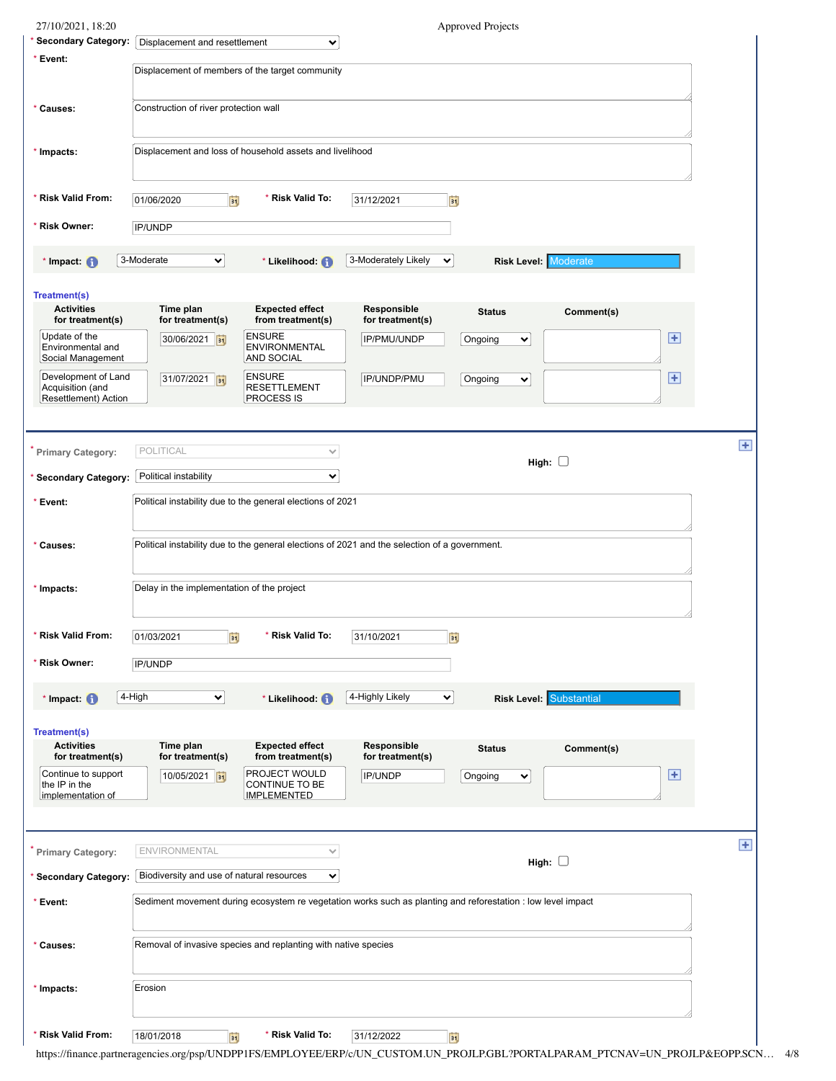| <b>Secondary Category:</b><br>Displacement and resettlement<br>$\checkmark$<br>* Event:<br>Displacement of members of the target community<br>Construction of river protection wall<br>* Causes:<br>Displacement and loss of household assets and livelihood<br>* Impacts:<br>* Risk Valid From:<br>* Risk Valid To:<br>01/06/2020<br>31/12/2021<br>h<br>BŲ<br>* Risk Owner:<br>IP/UNDP<br>3-Moderate<br>3-Moderately Likely<br><b>Risk Level: Moderate</b><br>∨<br>* Impact: $\bigoplus$<br>* Likelihood: (1)<br>$\checkmark$<br><b>Treatment(s)</b><br><b>Activities</b><br>Time plan<br><b>Expected effect</b><br>Responsible<br>Comment(s)<br><b>Status</b><br>for treatment(s)<br>for treatment(s)<br>from treatment(s)<br>for treatment(s)<br><b>ENSURE</b><br>Update of the<br>Ð<br>30/06/2021 31<br>IP/PMU/UNDP<br>Ongoing<br>$\checkmark$<br>Environmental and<br><b>ENVIRONMENTAL</b><br>Social Management<br><b>AND SOCIAL</b><br>Development of Land<br><b>ENSURE</b><br>$\overline{F}$<br>31/07/2021<br>IP/UNDP/PMU<br>Ongoing<br>$\checkmark$<br>Acquisition (and<br><b>RESETTLEMENT</b><br>Resettlement) Action<br><b>PROCESS IS</b><br>POLITICAL<br>Primary Category:<br>$\checkmark$<br>High: $\square$<br>Political instability<br>$\checkmark$<br><b>Secondary Category:</b><br>Political instability due to the general elections of 2021<br>* Event:<br>Political instability due to the general elections of 2021 and the selection of a government.<br>* Causes:<br>Delay in the implementation of the project<br>* Impacts:<br><b>Risk Valid From:</b><br>* Risk Valid To:<br>31/10/2021<br>01/03/2021<br>E<br>剀<br>* Risk Owner:<br>IP/UNDP<br>4-High<br>4-Highly Likely<br><b>Risk Level: Substantial</b><br>v<br>* Likelihood: (1)<br>$\checkmark$<br>* Impact: $\bigoplus$<br><b>Treatment(s)</b><br><b>Activities</b><br>Time plan<br><b>Expected effect</b><br>Responsible<br><b>Status</b><br>Comment(s)<br>for treatment(s)<br>from treatment(s)<br>for treatment(s)<br>for treatment(s)<br>PROJECT WOULD<br>$\overline{+}$<br>Continue to support<br>10/05/2021 31<br>IP/UNDP<br>Ongoing<br>×<br>CONTINUE TO BE<br>the IP in the<br><b>IMPLEMENTED</b><br>implementation of<br><b>ENVIRONMENTAL</b><br>Primary Category:<br>$\checkmark$<br>High: $\square$<br>Biodiversity and use of natural resources<br>* Secondary Category:<br>×<br>Sediment movement during ecosystem re vegetation works such as planting and reforestation : low level impact<br>* Event:<br>Removal of invasive species and replanting with native species<br>* Causes:<br>Erosion<br>* Impacts:<br>* Risk Valid From:<br>Risk Valid To:<br>Γij<br>ĖŪ<br>18/01/2018<br>31/12/2022 | 27/10/2021, 18:20 | <b>Approved Projects</b> |   |
|----------------------------------------------------------------------------------------------------------------------------------------------------------------------------------------------------------------------------------------------------------------------------------------------------------------------------------------------------------------------------------------------------------------------------------------------------------------------------------------------------------------------------------------------------------------------------------------------------------------------------------------------------------------------------------------------------------------------------------------------------------------------------------------------------------------------------------------------------------------------------------------------------------------------------------------------------------------------------------------------------------------------------------------------------------------------------------------------------------------------------------------------------------------------------------------------------------------------------------------------------------------------------------------------------------------------------------------------------------------------------------------------------------------------------------------------------------------------------------------------------------------------------------------------------------------------------------------------------------------------------------------------------------------------------------------------------------------------------------------------------------------------------------------------------------------------------------------------------------------------------------------------------------------------------------------------------------------------------------------------------------------------------------------------------------------------------------------------------------------------------------------------------------------------------------------------------------------------------------------------------------------------------------------------------------------------------------------------------------------------------------------------------------------------------------------------------------------------------------------------------------------------------------------------------------------------------------------------------------------------------------------------------------------------------------------------|-------------------|--------------------------|---|
|                                                                                                                                                                                                                                                                                                                                                                                                                                                                                                                                                                                                                                                                                                                                                                                                                                                                                                                                                                                                                                                                                                                                                                                                                                                                                                                                                                                                                                                                                                                                                                                                                                                                                                                                                                                                                                                                                                                                                                                                                                                                                                                                                                                                                                                                                                                                                                                                                                                                                                                                                                                                                                                                                              |                   |                          |   |
|                                                                                                                                                                                                                                                                                                                                                                                                                                                                                                                                                                                                                                                                                                                                                                                                                                                                                                                                                                                                                                                                                                                                                                                                                                                                                                                                                                                                                                                                                                                                                                                                                                                                                                                                                                                                                                                                                                                                                                                                                                                                                                                                                                                                                                                                                                                                                                                                                                                                                                                                                                                                                                                                                              |                   |                          |   |
|                                                                                                                                                                                                                                                                                                                                                                                                                                                                                                                                                                                                                                                                                                                                                                                                                                                                                                                                                                                                                                                                                                                                                                                                                                                                                                                                                                                                                                                                                                                                                                                                                                                                                                                                                                                                                                                                                                                                                                                                                                                                                                                                                                                                                                                                                                                                                                                                                                                                                                                                                                                                                                                                                              |                   |                          |   |
|                                                                                                                                                                                                                                                                                                                                                                                                                                                                                                                                                                                                                                                                                                                                                                                                                                                                                                                                                                                                                                                                                                                                                                                                                                                                                                                                                                                                                                                                                                                                                                                                                                                                                                                                                                                                                                                                                                                                                                                                                                                                                                                                                                                                                                                                                                                                                                                                                                                                                                                                                                                                                                                                                              |                   |                          |   |
|                                                                                                                                                                                                                                                                                                                                                                                                                                                                                                                                                                                                                                                                                                                                                                                                                                                                                                                                                                                                                                                                                                                                                                                                                                                                                                                                                                                                                                                                                                                                                                                                                                                                                                                                                                                                                                                                                                                                                                                                                                                                                                                                                                                                                                                                                                                                                                                                                                                                                                                                                                                                                                                                                              |                   |                          |   |
|                                                                                                                                                                                                                                                                                                                                                                                                                                                                                                                                                                                                                                                                                                                                                                                                                                                                                                                                                                                                                                                                                                                                                                                                                                                                                                                                                                                                                                                                                                                                                                                                                                                                                                                                                                                                                                                                                                                                                                                                                                                                                                                                                                                                                                                                                                                                                                                                                                                                                                                                                                                                                                                                                              |                   |                          |   |
|                                                                                                                                                                                                                                                                                                                                                                                                                                                                                                                                                                                                                                                                                                                                                                                                                                                                                                                                                                                                                                                                                                                                                                                                                                                                                                                                                                                                                                                                                                                                                                                                                                                                                                                                                                                                                                                                                                                                                                                                                                                                                                                                                                                                                                                                                                                                                                                                                                                                                                                                                                                                                                                                                              |                   |                          |   |
|                                                                                                                                                                                                                                                                                                                                                                                                                                                                                                                                                                                                                                                                                                                                                                                                                                                                                                                                                                                                                                                                                                                                                                                                                                                                                                                                                                                                                                                                                                                                                                                                                                                                                                                                                                                                                                                                                                                                                                                                                                                                                                                                                                                                                                                                                                                                                                                                                                                                                                                                                                                                                                                                                              |                   |                          |   |
|                                                                                                                                                                                                                                                                                                                                                                                                                                                                                                                                                                                                                                                                                                                                                                                                                                                                                                                                                                                                                                                                                                                                                                                                                                                                                                                                                                                                                                                                                                                                                                                                                                                                                                                                                                                                                                                                                                                                                                                                                                                                                                                                                                                                                                                                                                                                                                                                                                                                                                                                                                                                                                                                                              |                   |                          |   |
|                                                                                                                                                                                                                                                                                                                                                                                                                                                                                                                                                                                                                                                                                                                                                                                                                                                                                                                                                                                                                                                                                                                                                                                                                                                                                                                                                                                                                                                                                                                                                                                                                                                                                                                                                                                                                                                                                                                                                                                                                                                                                                                                                                                                                                                                                                                                                                                                                                                                                                                                                                                                                                                                                              |                   |                          |   |
|                                                                                                                                                                                                                                                                                                                                                                                                                                                                                                                                                                                                                                                                                                                                                                                                                                                                                                                                                                                                                                                                                                                                                                                                                                                                                                                                                                                                                                                                                                                                                                                                                                                                                                                                                                                                                                                                                                                                                                                                                                                                                                                                                                                                                                                                                                                                                                                                                                                                                                                                                                                                                                                                                              |                   |                          |   |
|                                                                                                                                                                                                                                                                                                                                                                                                                                                                                                                                                                                                                                                                                                                                                                                                                                                                                                                                                                                                                                                                                                                                                                                                                                                                                                                                                                                                                                                                                                                                                                                                                                                                                                                                                                                                                                                                                                                                                                                                                                                                                                                                                                                                                                                                                                                                                                                                                                                                                                                                                                                                                                                                                              |                   |                          |   |
|                                                                                                                                                                                                                                                                                                                                                                                                                                                                                                                                                                                                                                                                                                                                                                                                                                                                                                                                                                                                                                                                                                                                                                                                                                                                                                                                                                                                                                                                                                                                                                                                                                                                                                                                                                                                                                                                                                                                                                                                                                                                                                                                                                                                                                                                                                                                                                                                                                                                                                                                                                                                                                                                                              |                   |                          | Ŧ |
|                                                                                                                                                                                                                                                                                                                                                                                                                                                                                                                                                                                                                                                                                                                                                                                                                                                                                                                                                                                                                                                                                                                                                                                                                                                                                                                                                                                                                                                                                                                                                                                                                                                                                                                                                                                                                                                                                                                                                                                                                                                                                                                                                                                                                                                                                                                                                                                                                                                                                                                                                                                                                                                                                              |                   |                          |   |
|                                                                                                                                                                                                                                                                                                                                                                                                                                                                                                                                                                                                                                                                                                                                                                                                                                                                                                                                                                                                                                                                                                                                                                                                                                                                                                                                                                                                                                                                                                                                                                                                                                                                                                                                                                                                                                                                                                                                                                                                                                                                                                                                                                                                                                                                                                                                                                                                                                                                                                                                                                                                                                                                                              |                   |                          |   |
|                                                                                                                                                                                                                                                                                                                                                                                                                                                                                                                                                                                                                                                                                                                                                                                                                                                                                                                                                                                                                                                                                                                                                                                                                                                                                                                                                                                                                                                                                                                                                                                                                                                                                                                                                                                                                                                                                                                                                                                                                                                                                                                                                                                                                                                                                                                                                                                                                                                                                                                                                                                                                                                                                              |                   |                          |   |
|                                                                                                                                                                                                                                                                                                                                                                                                                                                                                                                                                                                                                                                                                                                                                                                                                                                                                                                                                                                                                                                                                                                                                                                                                                                                                                                                                                                                                                                                                                                                                                                                                                                                                                                                                                                                                                                                                                                                                                                                                                                                                                                                                                                                                                                                                                                                                                                                                                                                                                                                                                                                                                                                                              |                   |                          |   |
|                                                                                                                                                                                                                                                                                                                                                                                                                                                                                                                                                                                                                                                                                                                                                                                                                                                                                                                                                                                                                                                                                                                                                                                                                                                                                                                                                                                                                                                                                                                                                                                                                                                                                                                                                                                                                                                                                                                                                                                                                                                                                                                                                                                                                                                                                                                                                                                                                                                                                                                                                                                                                                                                                              |                   |                          |   |
|                                                                                                                                                                                                                                                                                                                                                                                                                                                                                                                                                                                                                                                                                                                                                                                                                                                                                                                                                                                                                                                                                                                                                                                                                                                                                                                                                                                                                                                                                                                                                                                                                                                                                                                                                                                                                                                                                                                                                                                                                                                                                                                                                                                                                                                                                                                                                                                                                                                                                                                                                                                                                                                                                              |                   |                          |   |
|                                                                                                                                                                                                                                                                                                                                                                                                                                                                                                                                                                                                                                                                                                                                                                                                                                                                                                                                                                                                                                                                                                                                                                                                                                                                                                                                                                                                                                                                                                                                                                                                                                                                                                                                                                                                                                                                                                                                                                                                                                                                                                                                                                                                                                                                                                                                                                                                                                                                                                                                                                                                                                                                                              |                   |                          |   |
|                                                                                                                                                                                                                                                                                                                                                                                                                                                                                                                                                                                                                                                                                                                                                                                                                                                                                                                                                                                                                                                                                                                                                                                                                                                                                                                                                                                                                                                                                                                                                                                                                                                                                                                                                                                                                                                                                                                                                                                                                                                                                                                                                                                                                                                                                                                                                                                                                                                                                                                                                                                                                                                                                              |                   |                          |   |
|                                                                                                                                                                                                                                                                                                                                                                                                                                                                                                                                                                                                                                                                                                                                                                                                                                                                                                                                                                                                                                                                                                                                                                                                                                                                                                                                                                                                                                                                                                                                                                                                                                                                                                                                                                                                                                                                                                                                                                                                                                                                                                                                                                                                                                                                                                                                                                                                                                                                                                                                                                                                                                                                                              |                   |                          |   |
|                                                                                                                                                                                                                                                                                                                                                                                                                                                                                                                                                                                                                                                                                                                                                                                                                                                                                                                                                                                                                                                                                                                                                                                                                                                                                                                                                                                                                                                                                                                                                                                                                                                                                                                                                                                                                                                                                                                                                                                                                                                                                                                                                                                                                                                                                                                                                                                                                                                                                                                                                                                                                                                                                              |                   |                          |   |
|                                                                                                                                                                                                                                                                                                                                                                                                                                                                                                                                                                                                                                                                                                                                                                                                                                                                                                                                                                                                                                                                                                                                                                                                                                                                                                                                                                                                                                                                                                                                                                                                                                                                                                                                                                                                                                                                                                                                                                                                                                                                                                                                                                                                                                                                                                                                                                                                                                                                                                                                                                                                                                                                                              |                   |                          |   |
|                                                                                                                                                                                                                                                                                                                                                                                                                                                                                                                                                                                                                                                                                                                                                                                                                                                                                                                                                                                                                                                                                                                                                                                                                                                                                                                                                                                                                                                                                                                                                                                                                                                                                                                                                                                                                                                                                                                                                                                                                                                                                                                                                                                                                                                                                                                                                                                                                                                                                                                                                                                                                                                                                              |                   |                          | Ŧ |
|                                                                                                                                                                                                                                                                                                                                                                                                                                                                                                                                                                                                                                                                                                                                                                                                                                                                                                                                                                                                                                                                                                                                                                                                                                                                                                                                                                                                                                                                                                                                                                                                                                                                                                                                                                                                                                                                                                                                                                                                                                                                                                                                                                                                                                                                                                                                                                                                                                                                                                                                                                                                                                                                                              |                   |                          |   |
|                                                                                                                                                                                                                                                                                                                                                                                                                                                                                                                                                                                                                                                                                                                                                                                                                                                                                                                                                                                                                                                                                                                                                                                                                                                                                                                                                                                                                                                                                                                                                                                                                                                                                                                                                                                                                                                                                                                                                                                                                                                                                                                                                                                                                                                                                                                                                                                                                                                                                                                                                                                                                                                                                              |                   |                          |   |
|                                                                                                                                                                                                                                                                                                                                                                                                                                                                                                                                                                                                                                                                                                                                                                                                                                                                                                                                                                                                                                                                                                                                                                                                                                                                                                                                                                                                                                                                                                                                                                                                                                                                                                                                                                                                                                                                                                                                                                                                                                                                                                                                                                                                                                                                                                                                                                                                                                                                                                                                                                                                                                                                                              |                   |                          |   |
|                                                                                                                                                                                                                                                                                                                                                                                                                                                                                                                                                                                                                                                                                                                                                                                                                                                                                                                                                                                                                                                                                                                                                                                                                                                                                                                                                                                                                                                                                                                                                                                                                                                                                                                                                                                                                                                                                                                                                                                                                                                                                                                                                                                                                                                                                                                                                                                                                                                                                                                                                                                                                                                                                              |                   |                          |   |
|                                                                                                                                                                                                                                                                                                                                                                                                                                                                                                                                                                                                                                                                                                                                                                                                                                                                                                                                                                                                                                                                                                                                                                                                                                                                                                                                                                                                                                                                                                                                                                                                                                                                                                                                                                                                                                                                                                                                                                                                                                                                                                                                                                                                                                                                                                                                                                                                                                                                                                                                                                                                                                                                                              |                   |                          |   |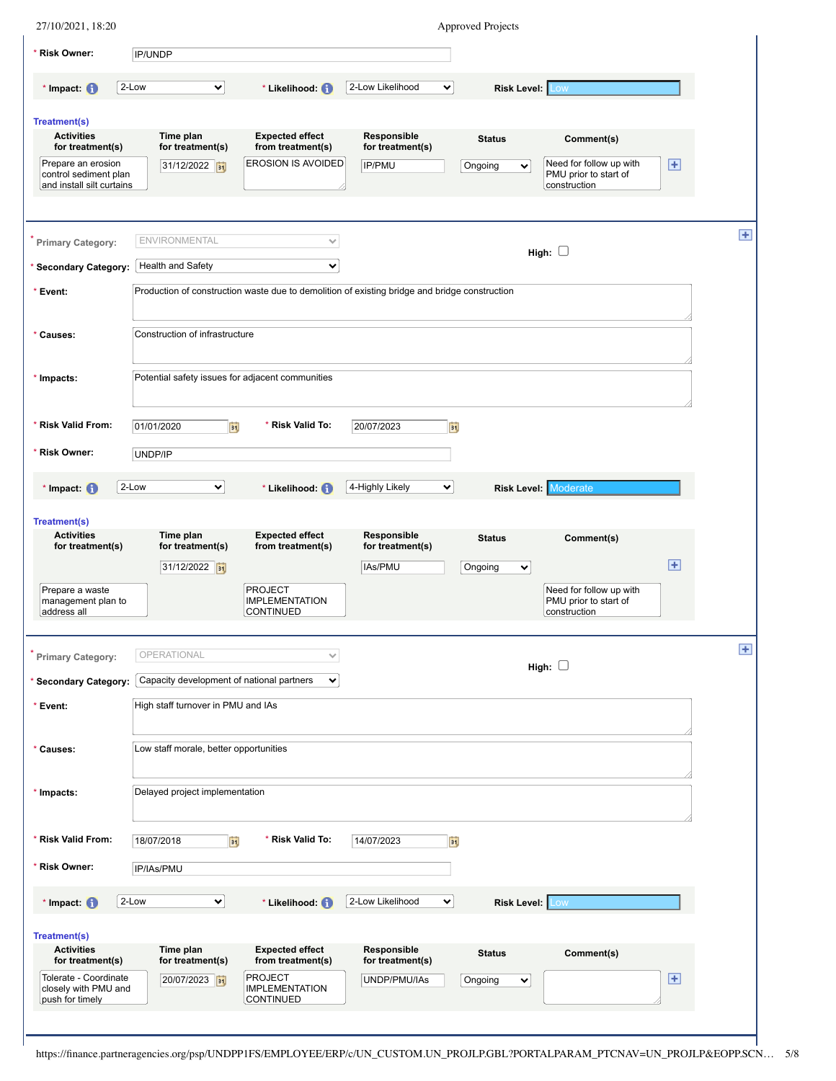| 27/10/2021, 18:20                                                                  |       |                                             |                                                                                               |                                           |    | <b>Approved Projects</b>                 |                                                                  |                |
|------------------------------------------------------------------------------------|-------|---------------------------------------------|-----------------------------------------------------------------------------------------------|-------------------------------------------|----|------------------------------------------|------------------------------------------------------------------|----------------|
| * Risk Owner:                                                                      |       | IP/UNDP                                     |                                                                                               |                                           |    |                                          |                                                                  |                |
| $*$ Impact: $\bigcirc$                                                             | 2-Low | $\checkmark$                                | * Likelihood: (1)                                                                             | 2-Low Likelihood                          | ×  | <b>Risk Level: Low</b>                   |                                                                  |                |
| <b>Treatment(s)</b><br><b>Activities</b><br>for treatment(s)<br>Prepare an erosion |       | Time plan<br>for treatment(s)<br>31/12/2022 | <b>Expected effect</b><br>from treatment(s)<br>EROSION IS AVOIDED                             | Responsible<br>for treatment(s)<br>IP/PMU |    | <b>Status</b><br>Ongoing<br>$\checkmark$ | Comment(s)<br>Need for follow up with                            | $\overline{+}$ |
| control sediment plan<br>and install silt curtains                                 |       |                                             |                                                                                               |                                           |    |                                          | PMU prior to start of<br>construction                            |                |
| Primary Category:                                                                  |       | <b>ENVIRONMENTAL</b>                        | $\checkmark$                                                                                  |                                           |    |                                          | High: $\Box$                                                     | Ŧ              |
| * Secondary Category:                                                              |       | Health and Safety                           | $\checkmark$                                                                                  |                                           |    |                                          |                                                                  |                |
| * Event:                                                                           |       |                                             | Production of construction waste due to demolition of existing bridge and bridge construction |                                           |    |                                          |                                                                  |                |
| * Causes:                                                                          |       | Construction of infrastructure              |                                                                                               |                                           |    |                                          |                                                                  |                |
| * Impacts:                                                                         |       |                                             | Potential safety issues for adjacent communities                                              |                                           |    |                                          |                                                                  |                |
| * Risk Valid From:                                                                 |       | 01/01/2020<br>Ëÿ                            | * Risk Valid To:                                                                              | 20/07/2023                                | EŪ |                                          |                                                                  |                |
| * Risk Owner:                                                                      |       | UNDP/IP                                     |                                                                                               |                                           |    |                                          |                                                                  |                |
| $*$ Impact: $\bigcirc$                                                             | 2-Low | $\checkmark$                                | * Likelihood: (1)                                                                             | 4-Highly Likely                           | ×  | <b>Risk Level: Moderate</b>              |                                                                  |                |
| <b>Treatment(s)</b>                                                                |       |                                             |                                                                                               |                                           |    |                                          |                                                                  |                |
| <b>Activities</b><br>for treatment(s)                                              |       | Time plan<br>for treatment(s)               | <b>Expected effect</b><br>from treatment(s)                                                   | Responsible<br>for treatment(s)           |    | <b>Status</b>                            | Comment(s)                                                       |                |
|                                                                                    |       | 31/12/2022 31                               |                                                                                               | IAs/PMU                                   |    | Ongoing<br>$\checkmark$                  |                                                                  | $\mathbf{F}$   |
| Prepare a waste<br>management plan to<br>address all                               |       |                                             | <b>PROJECT</b><br><b>IMPLEMENTATION</b><br><b>CONTINUED</b>                                   |                                           |    |                                          | Need for follow up with<br>PMU prior to start of<br>construction |                |
| Primary Category:                                                                  |       | OPERATIONAL                                 | $\checkmark$                                                                                  |                                           |    |                                          | High: $\square$                                                  | Ŧ              |
| * Secondary Category:                                                              |       | Capacity development of national partners   | $\checkmark$                                                                                  |                                           |    |                                          |                                                                  |                |
| * Event:                                                                           |       | High staff turnover in PMU and IAs          |                                                                                               |                                           |    |                                          |                                                                  |                |
| * Causes:                                                                          |       | Low staff morale, better opportunities      |                                                                                               |                                           |    |                                          |                                                                  |                |
| * Impacts:                                                                         |       | Delayed project implementation              |                                                                                               |                                           |    |                                          |                                                                  |                |
| * Risk Valid From:                                                                 |       | 18/07/2018<br>Ħ                             | * Risk Valid To:                                                                              | 14/07/2023                                | Ħ  |                                          |                                                                  |                |
| * Risk Owner:                                                                      |       | IP/IAs/PMU                                  |                                                                                               |                                           |    |                                          |                                                                  |                |
| * Impact: $\bigcap$                                                                | 2-Low | M                                           | * Likelihood: (1)                                                                             | 2-Low Likelihood                          | M  | <b>Risk Level: Low</b>                   |                                                                  |                |
| <b>Treatment(s)</b><br><b>Activities</b>                                           |       |                                             | <b>Expected effect</b>                                                                        | Responsible                               |    |                                          |                                                                  |                |
| for treatment(s)                                                                   |       | Time plan<br>for treatment(s)               | from treatment(s)                                                                             | for treatment(s)                          |    | <b>Status</b>                            | Comment(s)                                                       |                |
| Tolerate - Coordinate<br>closely with PMU and<br>push for timely                   |       | 20/07/2023                                  | <b>PROJECT</b><br><b>IMPLEMENTATION</b><br><b>CONTINUED</b>                                   | UNDP/PMU/IAs                              |    | Ongoing<br>$\checkmark$                  |                                                                  | $\mathbf{F}$   |
|                                                                                    |       |                                             |                                                                                               |                                           |    |                                          |                                                                  |                |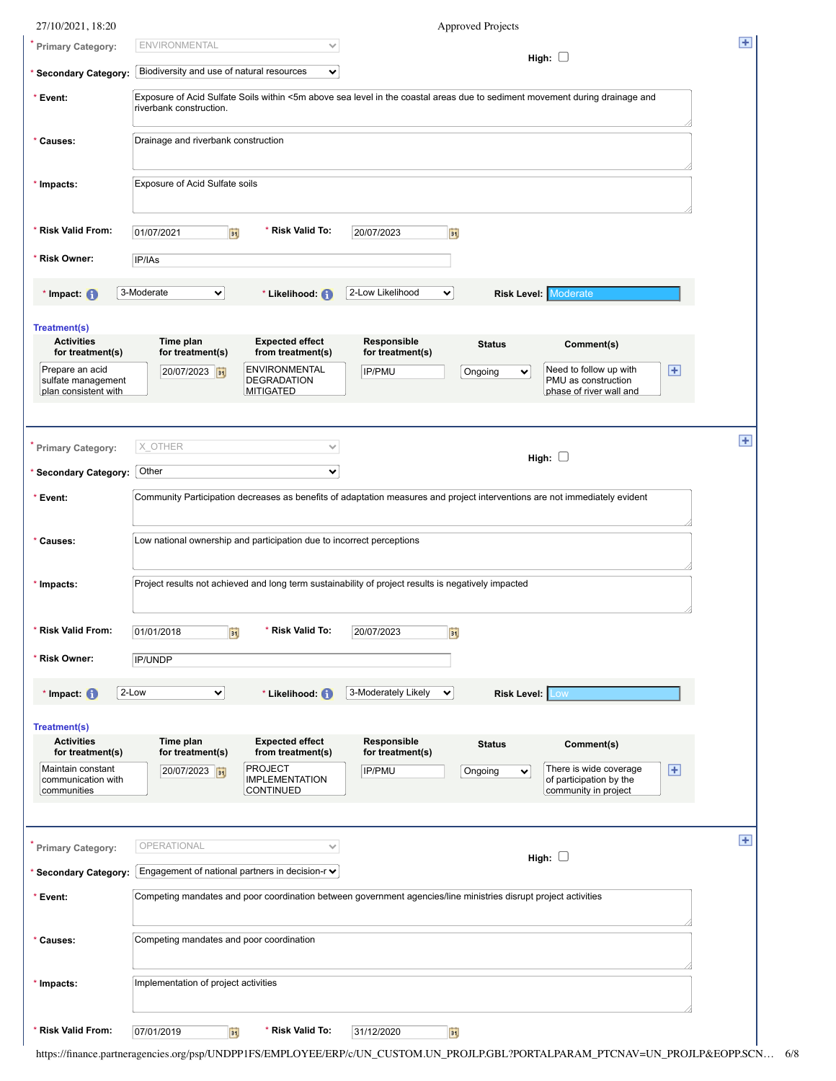| 27/10/2021, 18:20                                                               | <b>Approved Projects</b>                                                                                                                                                                                                                                              |       |
|---------------------------------------------------------------------------------|-----------------------------------------------------------------------------------------------------------------------------------------------------------------------------------------------------------------------------------------------------------------------|-------|
| Primary Category:                                                               | <b>ENVIRONMENTAL</b><br>$\checkmark$<br>High: $\square$                                                                                                                                                                                                               | $\pm$ |
| * Secondary Category:                                                           | Biodiversity and use of natural resources<br>$\checkmark$                                                                                                                                                                                                             |       |
| * Event:                                                                        | Exposure of Acid Sulfate Soils within <5m above sea level in the coastal areas due to sediment movement during drainage and<br>riverbank construction.                                                                                                                |       |
| * Causes:                                                                       | Drainage and riverbank construction                                                                                                                                                                                                                                   |       |
| * Impacts:                                                                      | Exposure of Acid Sulfate soils                                                                                                                                                                                                                                        |       |
| Risk Valid From:                                                                | Risk Valid To:<br>01/07/2021<br>20/07/2023<br>EU<br>Fij                                                                                                                                                                                                               |       |
| Risk Owner:                                                                     | IP/IAs                                                                                                                                                                                                                                                                |       |
| * Impact: $\bigcap$                                                             | 3-Moderate<br>2-Low Likelihood<br><b>Risk Level: Moderate</b><br>$\checkmark$<br>* Likelihood: (1)<br>$\checkmark$                                                                                                                                                    |       |
| <b>Treatment(s)</b><br><b>Activities</b><br>for treatment(s)<br>Prepare an acid | Time plan<br><b>Expected effect</b><br>Responsible<br><b>Status</b><br>Comment(s)<br>for treatment(s)<br>for treatment(s)<br>from treatment(s)<br><b>ENVIRONMENTAL</b><br>Need to follow up with<br>$\overline{+}$<br>20/07/2023<br>IP/PMU<br>Ongoing<br>$\checkmark$ |       |
| sulfate management<br>plan consistent with                                      | <b>DEGRADATION</b><br>PMU as construction<br>MITIGATED<br>phase of river wall and                                                                                                                                                                                     |       |
| Primary Category:                                                               | X OTHER<br>$\checkmark$<br>High: $\Box$                                                                                                                                                                                                                               | Ŧ     |
| * Secondary Category:                                                           | Other<br>$\checkmark$                                                                                                                                                                                                                                                 |       |
| * Event:                                                                        | Community Participation decreases as benefits of adaptation measures and project interventions are not immediately evident                                                                                                                                            |       |
| * Causes:                                                                       | Low national ownership and participation due to incorrect perceptions                                                                                                                                                                                                 |       |
| * Impacts:                                                                      | Project results not achieved and long term sustainability of project results is negatively impacted                                                                                                                                                                   |       |
| <b>Risk Valid From:</b>                                                         | * Risk Valid To:<br>01/01/2018<br>ij<br>20/07/2023<br>E                                                                                                                                                                                                               |       |
| * Risk Owner:                                                                   | <b>IP/UNDP</b>                                                                                                                                                                                                                                                        |       |
| $*$ Impact: $\bigoplus$                                                         | 2-Low<br><b>Risk Level: Low</b><br>$\checkmark$<br>3-Moderately Likely<br>* Likelihood: <sup>(1)</sup><br>$\checkmark$                                                                                                                                                |       |
| Treatment(s)<br><b>Activities</b><br>for treatment(s)                           | Time plan<br><b>Expected effect</b><br>Responsible<br><b>Status</b><br>Comment(s)<br>for treatment(s)<br>for treatment(s)<br>from treatment(s)                                                                                                                        |       |
| Maintain constant<br>communication with<br>communities                          | <b>PROJECT</b><br>There is wide coverage<br>$\overline{+}$<br>IP/PMU<br>20/07/2023 31<br>Ongoing<br>$\checkmark$<br>of participation by the<br><b>IMPLEMENTATION</b><br><b>CONTINUED</b><br>community in project                                                      |       |
| Primary Category:                                                               | OPERATIONAL<br>$\checkmark$<br>High: $\square$                                                                                                                                                                                                                        | Ŧ     |
| 'Secondary Category:                                                            | Engagement of national partners in decision-r $\vee$                                                                                                                                                                                                                  |       |
| * Event:                                                                        | Competing mandates and poor coordination between government agencies/line ministries disrupt project activities                                                                                                                                                       |       |
| * Causes:                                                                       | Competing mandates and poor coordination                                                                                                                                                                                                                              |       |
| * Impacts:                                                                      | Implementation of project activities                                                                                                                                                                                                                                  |       |
| * Risk Valid From:                                                              | * Risk Valid To:<br>Þij<br>07/01/2019<br>31/12/2020<br>F)                                                                                                                                                                                                             |       |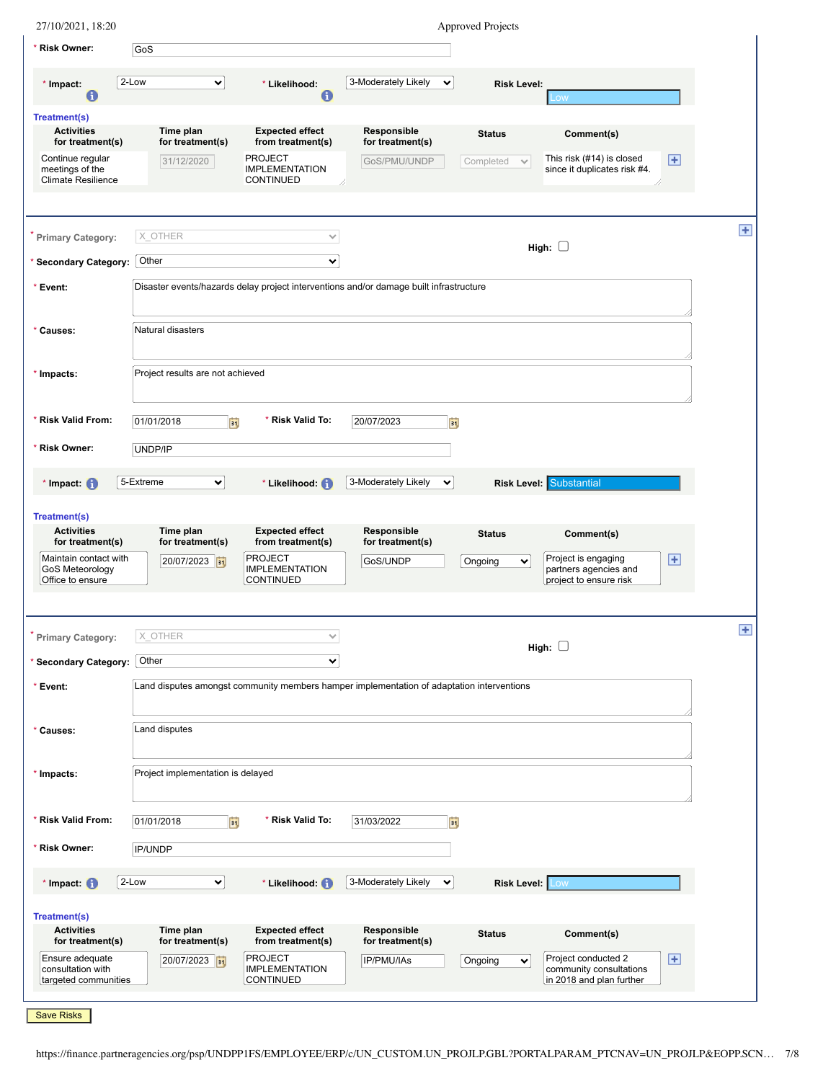| * Risk Owner:                                                                    |                                   |                                                                                  |                                                                                           | <b>Approved Projects</b>  |                                                                            |                             |
|----------------------------------------------------------------------------------|-----------------------------------|----------------------------------------------------------------------------------|-------------------------------------------------------------------------------------------|---------------------------|----------------------------------------------------------------------------|-----------------------------|
|                                                                                  | GoS                               |                                                                                  |                                                                                           |                           |                                                                            |                             |
| * Impact:<br>0                                                                   | 2-Low<br>$\checkmark$             | * Likelihood:<br>0                                                               | 3-Moderately Likely<br>$\checkmark$                                                       | <b>Risk Level:</b>        | LOW                                                                        |                             |
| <b>Treatment(s)</b><br><b>Activities</b><br>for treatment(s)                     | Time plan<br>for treatment(s)     | <b>Expected effect</b><br>from treatment(s)                                      | Responsible<br>for treatment(s)                                                           | <b>Status</b>             | Comment(s)                                                                 |                             |
| Continue regular<br>meetings of the<br><b>Climate Resilience</b>                 | 31/12/2020                        | <b>PROJECT</b><br><b>IMPLEMENTATION</b><br>CONTINUED                             | GoS/PMU/UNDP                                                                              | Completed<br>$\checkmark$ | This risk (#14) is closed<br>since it duplicates risk #4.                  | $\overline{+}$              |
| <b>Primary Category:</b>                                                         | X OTHER                           | $\checkmark$                                                                     |                                                                                           |                           |                                                                            | Ŧ                           |
| <b>Secondary Category:</b>                                                       | Other                             | $\checkmark$                                                                     |                                                                                           |                           | High: $\square$                                                            |                             |
| * Event:                                                                         |                                   |                                                                                  | Disaster events/hazards delay project interventions and/or damage built infrastructure    |                           |                                                                            |                             |
|                                                                                  |                                   |                                                                                  |                                                                                           |                           |                                                                            |                             |
| * Causes:                                                                        | Natural disasters                 |                                                                                  |                                                                                           |                           |                                                                            |                             |
| * Impacts:                                                                       | Project results are not achieved  |                                                                                  |                                                                                           |                           |                                                                            |                             |
| * Risk Valid From:                                                               | FÜ<br>01/01/2018                  | * Risk Valid To:                                                                 | 20/07/2023<br><b>Fi</b>                                                                   |                           |                                                                            |                             |
| * Risk Owner:                                                                    | UNDP/IP                           |                                                                                  |                                                                                           |                           |                                                                            |                             |
| $*$ Impact: $\bigcirc$                                                           | 5-Extreme<br>$\checkmark$         | * Likelihood: (1)                                                                | 3-Moderately Likely<br>$\checkmark$                                                       |                           | <b>Risk Level: Substantial</b>                                             |                             |
| <b>Treatment(s)</b>                                                              |                                   |                                                                                  |                                                                                           |                           |                                                                            |                             |
| <b>Activities</b>                                                                | Time plan                         | <b>Expected effect</b>                                                           | Responsible                                                                               | <b>Status</b>             | Comment(s)                                                                 |                             |
| for treatment(s)<br>Maintain contact with<br>GoS Meteorology<br>Office to ensure | for treatment(s)<br>20/07/2023    | from treatment(s)<br><b>PROJECT</b><br><b>IMPLEMENTATION</b><br><b>CONTINUED</b> | for treatment(s)<br>GoS/UNDP                                                              | Ongoing<br>$\checkmark$   | Project is engaging<br>partners agencies and<br>project to ensure risk     | $\left  \mathbf{H} \right $ |
|                                                                                  |                                   |                                                                                  |                                                                                           |                           |                                                                            |                             |
|                                                                                  |                                   |                                                                                  |                                                                                           |                           |                                                                            |                             |
| <b>Primary Category:</b>                                                         | X_OTHER                           | $\checkmark$                                                                     |                                                                                           |                           |                                                                            | $\pm$                       |
| <b>Secondary Category:</b>                                                       | Other                             | $\checkmark$                                                                     |                                                                                           |                           | High: $\square$                                                            |                             |
| * Event:                                                                         |                                   |                                                                                  | Land disputes amongst community members hamper implementation of adaptation interventions |                           |                                                                            |                             |
|                                                                                  |                                   |                                                                                  |                                                                                           |                           |                                                                            |                             |
| * Causes:                                                                        | Land disputes                     |                                                                                  |                                                                                           |                           |                                                                            |                             |
| * Impacts:                                                                       | Project implementation is delayed |                                                                                  |                                                                                           |                           |                                                                            |                             |
| * Risk Valid From:                                                               | EŲ<br>01/01/2018                  | * Risk Valid To:                                                                 | 31/03/2022<br>ÞĴ                                                                          |                           |                                                                            |                             |
| * Risk Owner:                                                                    | IP/UNDP                           |                                                                                  |                                                                                           |                           |                                                                            |                             |
| $*$ Impact: $\bigoplus$                                                          | 2-Low<br>⊻∣                       | * Likelihood: (1)                                                                | 3-Moderately Likely<br>$\checkmark$                                                       | Risk Level: Low           |                                                                            |                             |
| Treatment(s)                                                                     |                                   |                                                                                  |                                                                                           |                           |                                                                            |                             |
| <b>Activities</b>                                                                | Time plan                         | <b>Expected effect</b>                                                           | Responsible                                                                               | <b>Status</b>             | Comment(s)                                                                 |                             |
| for treatment(s)<br>Ensure adequate<br>consultation with<br>targeted communities | for treatment(s)<br>20/07/2023    | from treatment(s)<br><b>PROJECT</b><br><b>IMPLEMENTATION</b><br><b>CONTINUED</b> | for treatment(s)<br>IP/PMU/IAs                                                            | Ongoing<br>$\checkmark$   | Project conducted 2<br>community consultations<br>in 2018 and plan further | $\left  + \right $          |